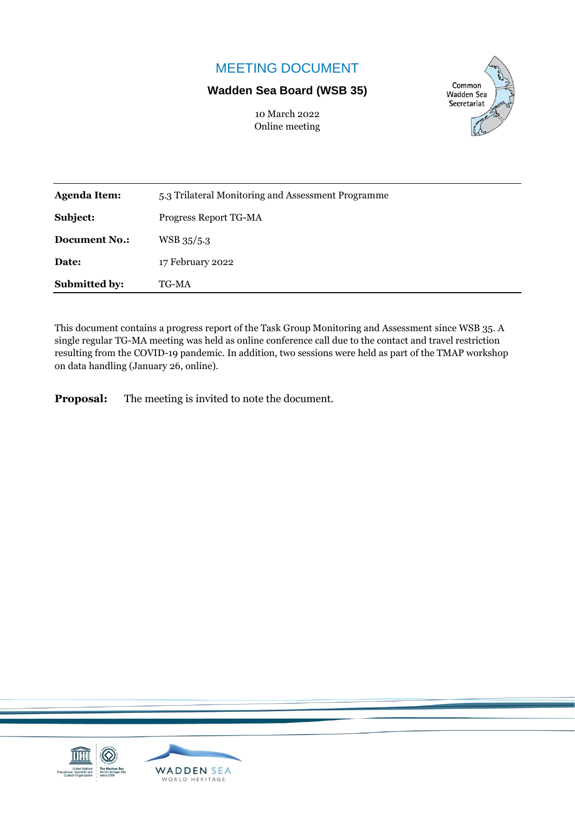# MEETING DOCUMENT

## **Wadden Sea Board (WSB 35)**

10 March 2022 Online meeting



| <b>Submitted by:</b> | TG-MA                                              |  |  |
|----------------------|----------------------------------------------------|--|--|
| Date:                | 17 February 2022                                   |  |  |
| <b>Document No.:</b> | WSB 35/5.3                                         |  |  |
| Subject:             | Progress Report TG-MA                              |  |  |
| <b>Agenda Item:</b>  | 5.3 Trilateral Monitoring and Assessment Programme |  |  |

This document contains a progress report of the Task Group Monitoring and Assessment since WSB 35. A single regular TG-MA meeting was held as online conference call due to the contact and travel restriction resulting from the COVID-19 pandemic. In addition, two sessions were held as part of the TMAP workshop on data handling (January 26, online).

**Proposal:** The meeting is invited to note the document.

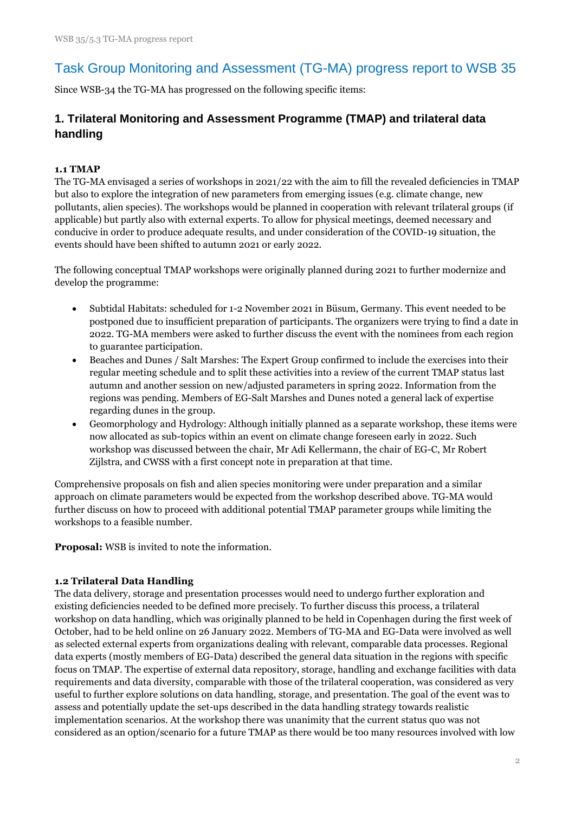# Task Group Monitoring and Assessment (TG-MA) progress report to WSB 35

Since WSB-34 the TG-MA has progressed on the following specific items:

## **1. Trilateral Monitoring and Assessment Programme (TMAP) and trilateral data handling**

#### **1.1 TMAP**

The TG-MA envisaged a series of workshops in 2021/22 with the aim to fill the revealed deficiencies in TMAP but also to explore the integration of new parameters from emerging issues (e.g. climate change, new pollutants, alien species). The workshops would be planned in cooperation with relevant trilateral groups (if applicable) but partly also with external experts. To allow for physical meetings, deemed necessary and conducive in order to produce adequate results, and under consideration of the COVID-19 situation, the events should have been shifted to autumn 2021 or early 2022.

The following conceptual TMAP workshops were originally planned during 2021 to further modernize and develop the programme:

- Subtidal Habitats: scheduled for 1-2 November 2021 in Büsum, Germany. This event needed to be postponed due to insufficient preparation of participants. The organizers were trying to find a date in 2022. TG-MA members were asked to further discuss the event with the nominees from each region to guarantee participation.
- Beaches and Dunes / Salt Marshes: The Expert Group confirmed to include the exercises into their regular meeting schedule and to split these activities into a review of the current TMAP status last autumn and another session on new/adjusted parameters in spring 2022. Information from the regions was pending. Members of EG-Salt Marshes and Dunes noted a general lack of expertise regarding dunes in the group.
- Geomorphology and Hydrology: Although initially planned as a separate workshop, these items were now allocated as sub-topics within an event on climate change foreseen early in 2022. Such workshop was discussed between the chair, Mr Adi Kellermann, the chair of EG-C, Mr Robert Zijlstra, and CWSS with a first concept note in preparation at that time.

Comprehensive proposals on fish and alien species monitoring were under preparation and a similar approach on climate parameters would be expected from the workshop described above. TG-MA would further discuss on how to proceed with additional potential TMAP parameter groups while limiting the workshops to a feasible number.

**Proposal:** WSB is invited to note the information.

#### **1.2 Trilateral Data Handling**

The data delivery, storage and presentation processes would need to undergo further exploration and existing deficiencies needed to be defined more precisely. To further discuss this process, a trilateral workshop on data handling, which was originally planned to be held in Copenhagen during the first week of October, had to be held online on 26 January 2022. Members of TG-MA and EG-Data were involved as well as selected external experts from organizations dealing with relevant, comparable data processes. Regional data experts (mostly members of EG-Data) described the general data situation in the regions with specific focus on TMAP. The expertise of external data repository, storage, handling and exchange facilities with data requirements and data diversity, comparable with those of the trilateral cooperation, was considered as very useful to further explore solutions on data handling, storage, and presentation. The goal of the event was to assess and potentially update the set-ups described in the data handling strategy towards realistic implementation scenarios. At the workshop there was unanimity that the current status quo was not considered as an option/scenario for a future TMAP as there would be too many resources involved with low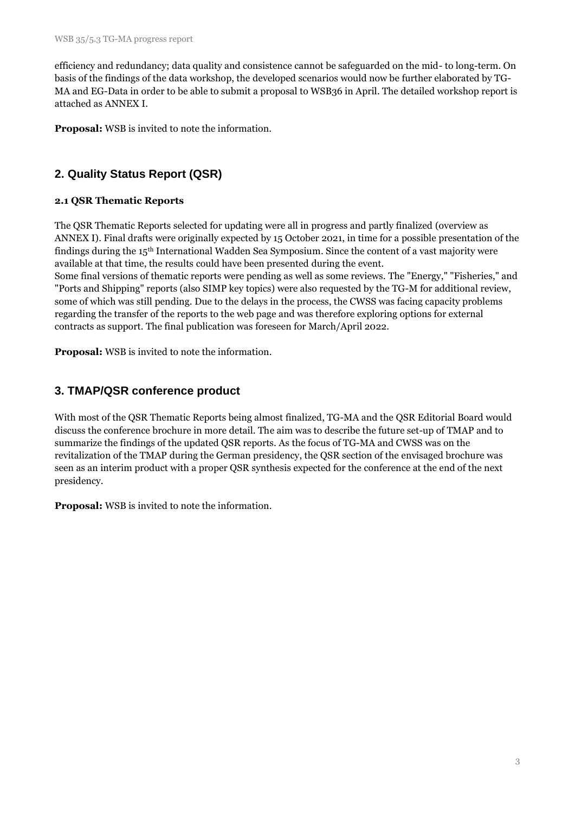efficiency and redundancy; data quality and consistence cannot be safeguarded on the mid- to long-term. On basis of the findings of the data workshop, the developed scenarios would now be further elaborated by TG-MA and EG-Data in order to be able to submit a proposal to WSB36 in April. The detailed workshop report is attached as ANNEX I.

**Proposal:** WSB is invited to note the information.

# **2. Quality Status Report (QSR)**

### **2.1 QSR Thematic Reports**

The QSR Thematic Reports selected for updating were all in progress and partly finalized (overview as ANNEX I). Final drafts were originally expected by 15 October 2021, in time for a possible presentation of the findings during the 15th International Wadden Sea Symposium. Since the content of a vast majority were available at that time, the results could have been presented during the event.

Some final versions of thematic reports were pending as well as some reviews. The "Energy," "Fisheries," and "Ports and Shipping" reports (also SIMP key topics) were also requested by the TG-M for additional review, some of which was still pending. Due to the delays in the process, the CWSS was facing capacity problems regarding the transfer of the reports to the web page and was therefore exploring options for external contracts as support. The final publication was foreseen for March/April 2022.

**Proposal:** WSB is invited to note the information.

## **3. TMAP/QSR conference product**

With most of the QSR Thematic Reports being almost finalized, TG-MA and the QSR Editorial Board would discuss the conference brochure in more detail. The aim was to describe the future set-up of TMAP and to summarize the findings of the updated QSR reports. As the focus of TG-MA and CWSS was on the revitalization of the TMAP during the German presidency, the QSR section of the envisaged brochure was seen as an interim product with a proper QSR synthesis expected for the conference at the end of the next presidency.

**Proposal:** WSB is invited to note the information.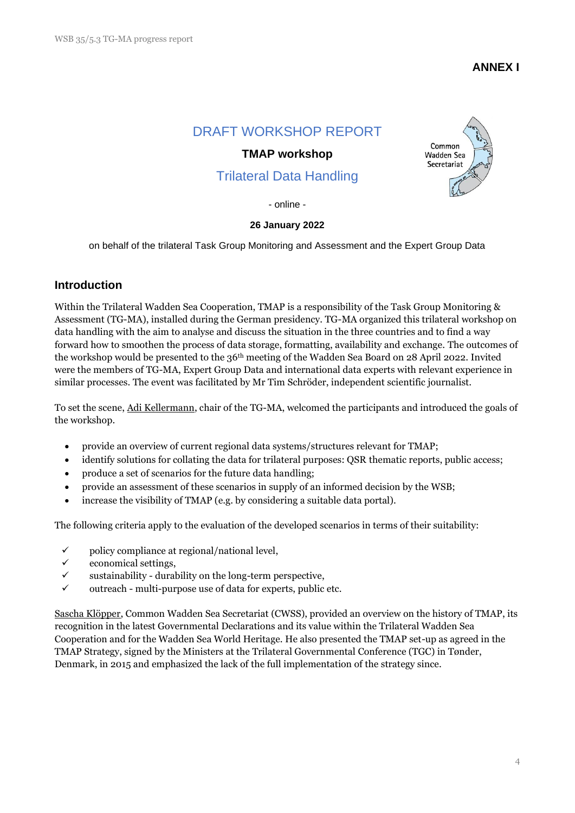### **ANNEX I**

## DRAFT WORKSHOP REPORT

#### **TMAP workshop**

# Trilateral Data Handling



- online -

#### **26 January 2022**

on behalf of the trilateral Task Group Monitoring and Assessment and the Expert Group Data

#### **Introduction**

Within the Trilateral Wadden Sea Cooperation, TMAP is a responsibility of the Task Group Monitoring & Assessment (TG-MA), installed during the German presidency. TG-MA organized this trilateral workshop on data handling with the aim to analyse and discuss the situation in the three countries and to find a way forward how to smoothen the process of data storage, formatting, availability and exchange. The outcomes of the workshop would be presented to the 36th meeting of the Wadden Sea Board on 28 April 2022. Invited were the members of TG-MA, Expert Group Data and international data experts with relevant experience in similar processes. The event was facilitated by Mr Tim Schröder, independent scientific journalist.

To set the scene, Adi Kellermann, chair of the TG-MA, welcomed the participants and introduced the goals of the workshop.

- provide an overview of current regional data systems/structures relevant for TMAP;
- identify solutions for collating the data for trilateral purposes: QSR thematic reports, public access;
- produce a set of scenarios for the future data handling;
- provide an assessment of these scenarios in supply of an informed decision by the WSB;
- increase the visibility of TMAP (e.g. by considering a suitable data portal).

The following criteria apply to the evaluation of the developed scenarios in terms of their suitability:

- $\checkmark$  policy compliance at regional/national level,
- $\checkmark$  economical settings,
- $\checkmark$  sustainability durability on the long-term perspective,
- $\checkmark$  outreach multi-purpose use of data for experts, public etc.

Sascha Klöpper, Common Wadden Sea Secretariat (CWSS), provided an overview on the history of TMAP, its recognition in the latest Governmental Declarations and its value within the Trilateral Wadden Sea Cooperation and for the Wadden Sea World Heritage. He also presented the TMAP set-up as agreed in the TMAP Strategy, signed by the Ministers at the Trilateral Governmental Conference (TGC) in Tønder, Denmark, in 2015 and emphasized the lack of the full implementation of the strategy since.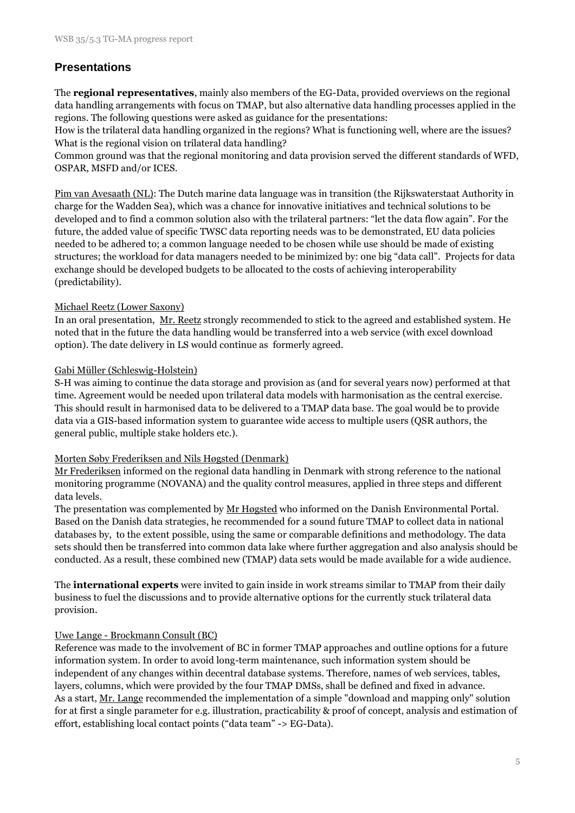### **Presentations**

The **regional representatives**, mainly also members of the EG-Data, provided overviews on the regional data handling arrangements with focus on TMAP, but also alternative data handling processes applied in the regions. The following questions were asked as guidance for the presentations:

How is the trilateral data handling organized in the regions? What is functioning well, where are the issues? What is the regional vision on trilateral data handling?

Common ground was that the regional monitoring and data provision served the different standards of WFD, OSPAR, MSFD and/or ICES.

Pim van Avesaath (NL): The Dutch marine data language was in transition (the Rijkswaterstaat Authority in charge for the Wadden Sea), which was a chance for innovative initiatives and technical solutions to be developed and to find a common solution also with the trilateral partners: "let the data flow again". For the future, the added value of specific TWSC data reporting needs was to be demonstrated, EU data policies needed to be adhered to; a common language needed to be chosen while use should be made of existing structures; the workload for data managers needed to be minimized by: one big "data call". Projects for data exchange should be developed budgets to be allocated to the costs of achieving interoperability (predictability).

#### Michael Reetz (Lower Saxony)

In an oral presentation, <u>Mr. Reetz</u> strongly recommended to stick to the agreed and established system. He noted that in the future the data handling would be transferred into a web service (with excel download option). The date delivery in LS would continue as formerly agreed.

#### Gabi Müller (Schleswig-Holstein)

S-H was aiming to continue the data storage and provision as (and for several years now) performed at that time. Agreement would be needed upon trilateral data models with harmonisation as the central exercise. This should result in harmonised data to be delivered to a TMAP data base. The goal would be to provide data via a GIS-based information system to guarantee wide access to multiple users (QSR authors, the general public, multiple stake holders etc.).

#### Morten Søby Frederiksen and Nils Høgsted (Denmark)

Mr Frederiksen informed on the regional data handling in Denmark with strong reference to the national monitoring programme (NOVANA) and the quality control measures, applied in three steps and different data levels.

The presentation was complemented by <u>Mr Høgsted</u> who informed on the Danish Environmental Portal. Based on the Danish data strategies, he recommended for a sound future TMAP to collect data in national databases by, to the extent possible, using the same or comparable definitions and methodology. The data sets should then be transferred into common data lake where further aggregation and also analysis should be conducted. As a result, these combined new (TMAP) data sets would be made available for a wide audience.

The **international experts** were invited to gain inside in work streams similar to TMAP from their daily business to fuel the discussions and to provide alternative options for the currently stuck trilateral data provision.

#### Uwe Lange - Brockmann Consult (BC)

Reference was made to the involvement of BC in former TMAP approaches and outline options for a future information system. In order to avoid long-term maintenance, such information system should be independent of any changes within decentral database systems. Therefore, names of web services, tables, layers, columns, which were provided by the four TMAP DMSs, shall be defined and fixed in advance. As a start, Mr. Lange recommended the implementation of a simple "download and mapping only" solution for at first a single parameter for e.g. illustration, practicability & proof of concept, analysis and estimation of effort, establishing local contact points ("data team" -> EG-Data).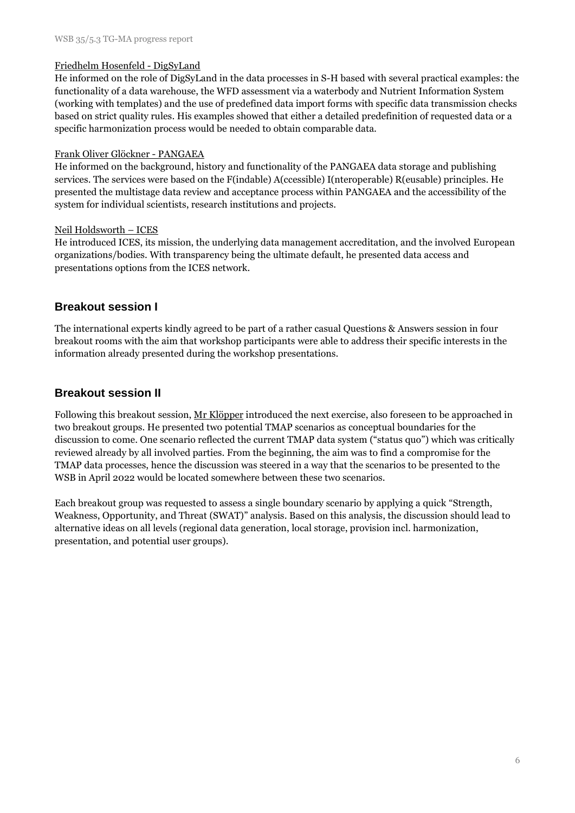#### Friedhelm Hosenfeld - DigSyLand

He informed on the role of DigSyLand in the data processes in S-H based with several practical examples: the functionality of a data warehouse, the WFD assessment via a waterbody and Nutrient Information System (working with templates) and the use of predefined data import forms with specific data transmission checks based on strict quality rules. His examples showed that either a detailed predefinition of requested data or a specific harmonization process would be needed to obtain comparable data.

#### Frank Oliver Glöckner - PANGAEA

He informed on the background, history and functionality of the PANGAEA data storage and publishing services. The services were based on the F(indable) A(ccessible) I(nteroperable) R(eusable) principles. He presented the multistage data review and acceptance process within PANGAEA and the accessibility of the system for individual scientists, research institutions and projects.

#### Neil Holdsworth – ICES

He introduced ICES, its mission, the underlying data management accreditation, and the involved European organizations/bodies. With transparency being the ultimate default, he presented data access and presentations options from the ICES network.

#### **Breakout session I**

The international experts kindly agreed to be part of a rather casual Questions & Answers session in four breakout rooms with the aim that workshop participants were able to address their specific interests in the information already presented during the workshop presentations.

#### **Breakout session II**

Following this breakout session, Mr Klöpper introduced the next exercise, also foreseen to be approached in two breakout groups. He presented two potential TMAP scenarios as conceptual boundaries for the discussion to come. One scenario reflected the current TMAP data system ("status quo") which was critically reviewed already by all involved parties. From the beginning, the aim was to find a compromise for the TMAP data processes, hence the discussion was steered in a way that the scenarios to be presented to the WSB in April 2022 would be located somewhere between these two scenarios.

Each breakout group was requested to assess a single boundary scenario by applying a quick "Strength, Weakness, Opportunity, and Threat (SWAT)" analysis. Based on this analysis, the discussion should lead to alternative ideas on all levels (regional data generation, local storage, provision incl. harmonization, presentation, and potential user groups).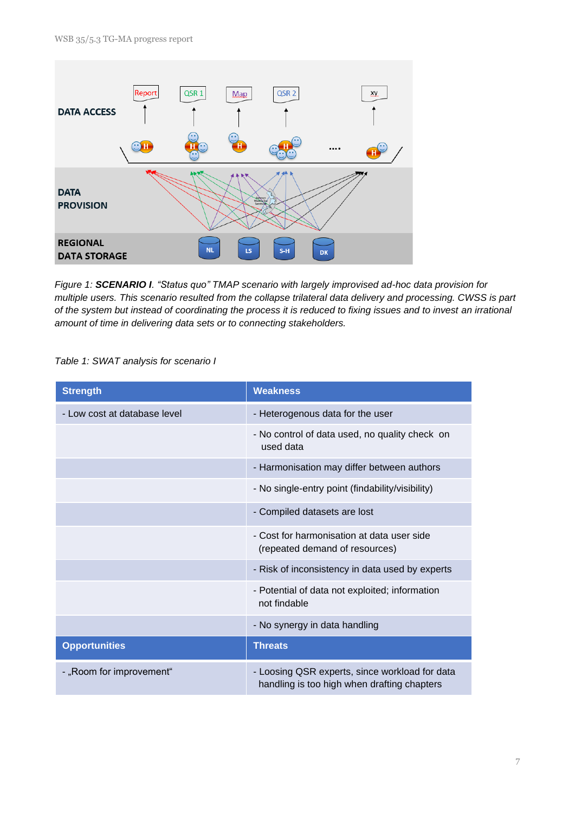

*Figure 1: SCENARIO I. "Status quo" TMAP scenario with largely improvised ad-hoc data provision for multiple users. This scenario resulted from the collapse trilateral data delivery and processing. CWSS is part of the system but instead of coordinating the process it is reduced to fixing issues and to invest an irrational amount of time in delivering data sets or to connecting stakeholders.*

#### *Table 1: SWAT analysis for scenario I*

| <b>Strength</b>              | <b>Weakness</b>                                                                               |  |  |
|------------------------------|-----------------------------------------------------------------------------------------------|--|--|
| - Low cost at database level | - Heterogenous data for the user                                                              |  |  |
|                              | - No control of data used, no quality check on<br>used data                                   |  |  |
|                              | - Harmonisation may differ between authors                                                    |  |  |
|                              | - No single-entry point (findability/visibility)                                              |  |  |
|                              | - Compiled datasets are lost                                                                  |  |  |
|                              | - Cost for harmonisation at data user side<br>(repeated demand of resources)                  |  |  |
|                              | - Risk of inconsistency in data used by experts                                               |  |  |
|                              | - Potential of data not exploited; information<br>not findable                                |  |  |
|                              | - No synergy in data handling                                                                 |  |  |
| <b>Opportunities</b>         | <b>Threats</b>                                                                                |  |  |
| - "Room for improvement"     | - Loosing QSR experts, since workload for data<br>handling is too high when drafting chapters |  |  |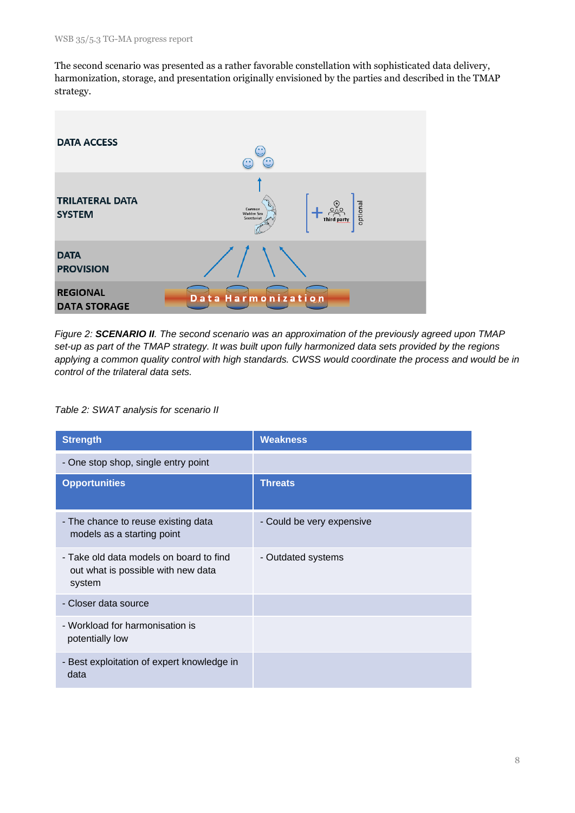The second scenario was presented as a rather favorable constellation with sophisticated data delivery, harmonization, storage, and presentation originally envisioned by the parties and described in the TMAP strategy.



*Figure 2: SCENARIO II. The second scenario was an approximation of the previously agreed upon TMAP set-up as part of the TMAP strategy. It was built upon fully harmonized data sets provided by the regions applying a common quality control with high standards. CWSS would coordinate the process and would be in control of the trilateral data sets.*

*Table 2: SWAT analysis for scenario II*

| <b>Strength</b>                                                                         | <b>Weakness</b>           |
|-----------------------------------------------------------------------------------------|---------------------------|
| - One stop shop, single entry point                                                     |                           |
| <b>Opportunities</b>                                                                    | <b>Threats</b>            |
| - The chance to reuse existing data<br>models as a starting point                       | - Could be very expensive |
| - Take old data models on board to find<br>out what is possible with new data<br>system | - Outdated systems        |
| - Closer data source                                                                    |                           |
| - Workload for harmonisation is<br>potentially low                                      |                           |
| - Best exploitation of expert knowledge in<br>data                                      |                           |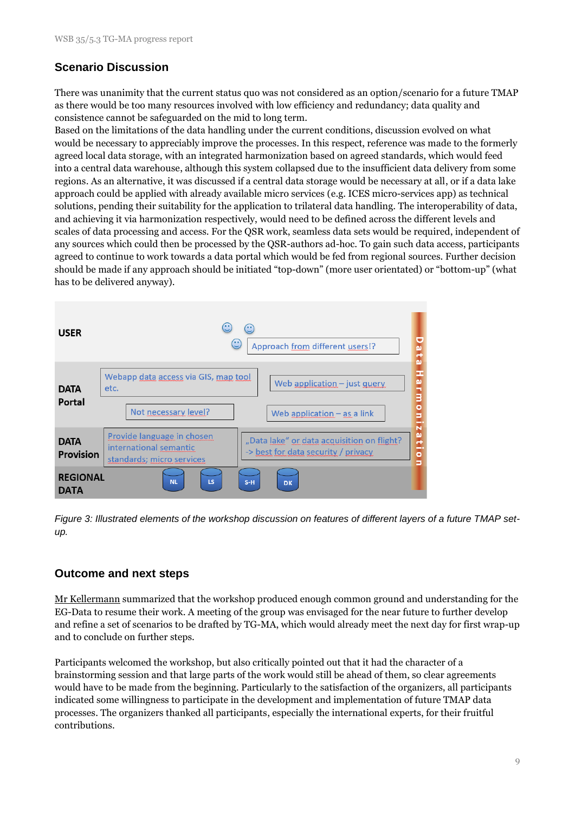## **Scenario Discussion**

There was unanimity that the current status quo was not considered as an option/scenario for a future TMAP as there would be too many resources involved with low efficiency and redundancy; data quality and consistence cannot be safeguarded on the mid to long term.

Based on the limitations of the data handling under the current conditions, discussion evolved on what would be necessary to appreciably improve the processes. In this respect, reference was made to the formerly agreed local data storage, with an integrated harmonization based on agreed standards, which would feed into a central data warehouse, although this system collapsed due to the insufficient data delivery from some regions. As an alternative, it was discussed if a central data storage would be necessary at all, or if a data lake approach could be applied with already available micro services (e.g. ICES micro-services app) as technical solutions, pending their suitability for the application to trilateral data handling. The interoperability of data, and achieving it via harmonization respectively, would need to be defined across the different levels and scales of data processing and access. For the QSR work, seamless data sets would be required, independent of any sources which could then be processed by the QSR-authors ad-hoc. To gain such data access, participants agreed to continue to work towards a data portal which would be fed from regional sources. Further decision should be made if any approach should be initiated "top-down" (more user orientated) or "bottom-up" (what has to be delivered anyway).

| <b>USER</b>                     | ۰.<br>۰.<br>$\mathbb{C}$<br>Approach from different users!?<br>o<br>ω                                                                                                                                |
|---------------------------------|------------------------------------------------------------------------------------------------------------------------------------------------------------------------------------------------------|
| <b>DATA</b><br>Portal           | Ŧ<br>Webapp data access via GIS, map tool<br>arm<br>Web application $-$ just query<br>etc.<br>o<br>Not necessary level?<br>Web application $-$ as a link<br>Ξ<br>-                                   |
| <b>DATA</b><br><b>Provision</b> | N<br>ω<br>Provide language in chosen<br>"Data lake" or data acquisition on flight?<br>æ<br>international semantic<br>-<br>-> best for data security / privacy<br>Ō<br>standards; micro services<br>5 |
| <b>REGIONAL</b><br>DATA         | LS<br><b>NL</b><br>$S-H$<br><b>DK</b>                                                                                                                                                                |

*Figure 3: Illustrated elements of the workshop discussion on features of different layers of a future TMAP setup.* 

### **Outcome and next steps**

Mr Kellermann summarized that the workshop produced enough common ground and understanding for the EG-Data to resume their work. A meeting of the group was envisaged for the near future to further develop and refine a set of scenarios to be drafted by TG-MA, which would already meet the next day for first wrap-up and to conclude on further steps.

Participants welcomed the workshop, but also critically pointed out that it had the character of a brainstorming session and that large parts of the work would still be ahead of them, so clear agreements would have to be made from the beginning. Particularly to the satisfaction of the organizers, all participants indicated some willingness to participate in the development and implementation of future TMAP data processes. The organizers thanked all participants, especially the international experts, for their fruitful contributions.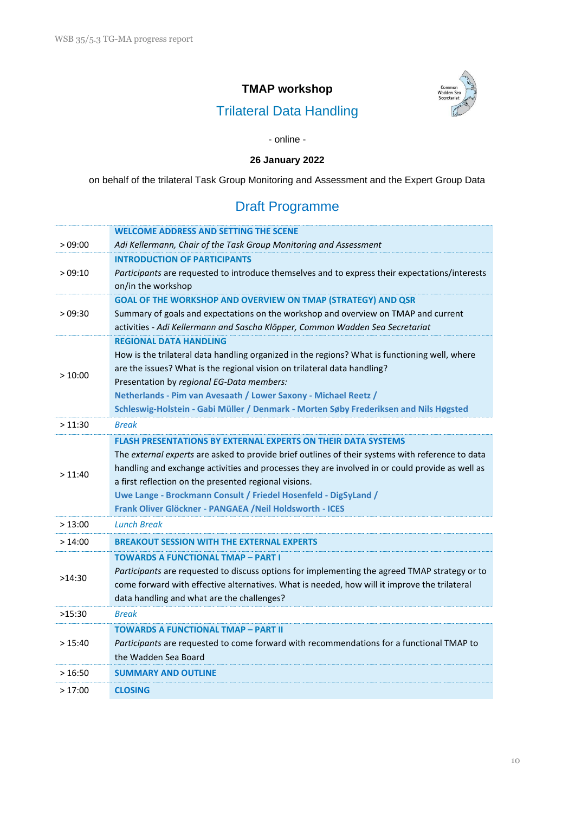## **TMAP workshop**



# Trilateral Data Handling

#### - online -

### **26 January 2022**

on behalf of the trilateral Task Group Monitoring and Assessment and the Expert Group Data

# Draft Programme

|         | <b>WELCOME ADDRESS AND SETTING THE SCENE</b>                                                                                                                              |
|---------|---------------------------------------------------------------------------------------------------------------------------------------------------------------------------|
| >09:00  | Adi Kellermann, Chair of the Task Group Monitoring and Assessment                                                                                                         |
|         | <b>INTRODUCTION OF PARTICIPANTS</b>                                                                                                                                       |
| >09:10  | Participants are requested to introduce themselves and to express their expectations/interests                                                                            |
|         | on/in the workshop                                                                                                                                                        |
|         | GOAL OF THE WORKSHOP AND OVERVIEW ON TMAP (STRATEGY) AND QSR                                                                                                              |
| >09:30  | Summary of goals and expectations on the workshop and overview on TMAP and current                                                                                        |
|         | activities - Adi Kellermann and Sascha Klöpper, Common Wadden Sea Secretariat<br><b>REGIONAL DATA HANDLING</b>                                                            |
|         |                                                                                                                                                                           |
|         | How is the trilateral data handling organized in the regions? What is functioning well, where<br>are the issues? What is the regional vision on trilateral data handling? |
| >10:00  | Presentation by regional EG-Data members:                                                                                                                                 |
|         | Netherlands - Pim van Avesaath / Lower Saxony - Michael Reetz /                                                                                                           |
|         | Schleswig-Holstein - Gabi Müller / Denmark - Morten Søby Frederiksen and Nils Høgsted                                                                                     |
| >11:30  | <b>Break</b>                                                                                                                                                              |
|         | <b>FLASH PRESENTATIONS BY EXTERNAL EXPERTS ON THEIR DATA SYSTEMS</b>                                                                                                      |
|         | The external experts are asked to provide brief outlines of their systems with reference to data                                                                          |
| >11:40  | handling and exchange activities and processes they are involved in or could provide as well as                                                                           |
|         | a first reflection on the presented regional visions.                                                                                                                     |
|         | Uwe Lange - Brockmann Consult / Friedel Hosenfeld - DigSyLand /                                                                                                           |
|         | Frank Oliver Glöckner - PANGAEA / Neil Holdsworth - ICES                                                                                                                  |
| >13:00  | <b>Lunch Break</b>                                                                                                                                                        |
| >14:00  | <b>BREAKOUT SESSION WITH THE EXTERNAL EXPERTS</b>                                                                                                                         |
|         | <b>TOWARDS A FUNCTIONAL TMAP - PART I</b>                                                                                                                                 |
| >14:30  | Participants are requested to discuss options for implementing the agreed TMAP strategy or to                                                                             |
|         | come forward with effective alternatives. What is needed, how will it improve the trilateral                                                                              |
|         | data handling and what are the challenges?                                                                                                                                |
| >15:30  | <b>Break</b>                                                                                                                                                              |
|         | <b>TOWARDS A FUNCTIONAL TMAP - PART II</b>                                                                                                                                |
| > 15:40 | Participants are requested to come forward with recommendations for a functional TMAP to                                                                                  |
|         | the Wadden Sea Board                                                                                                                                                      |
| >16:50  | <b>SUMMARY AND OUTLINE</b>                                                                                                                                                |
| >17:00  | <b>CLOSING</b>                                                                                                                                                            |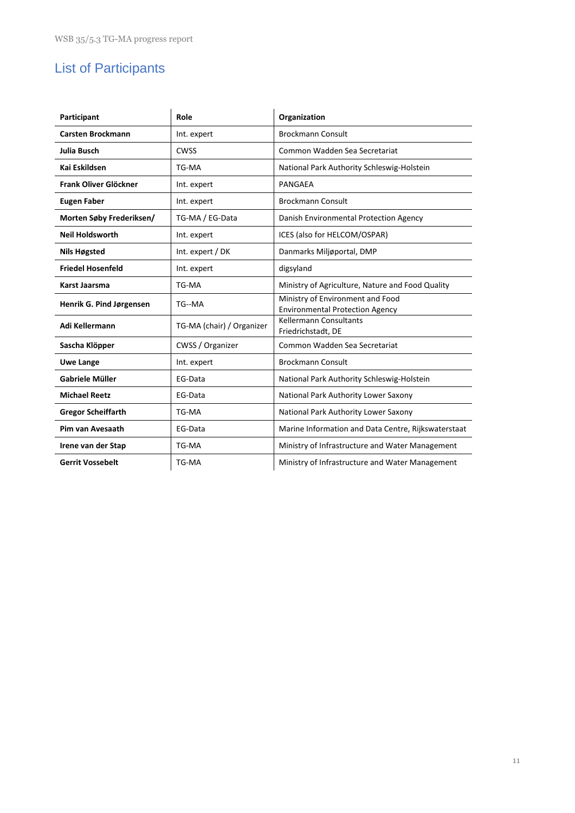# List of Participants

| Participant                                 | Role             | Organization                                                               |  |  |
|---------------------------------------------|------------------|----------------------------------------------------------------------------|--|--|
| <b>Carsten Brockmann</b>                    | Int. expert      | <b>Brockmann Consult</b>                                                   |  |  |
| Julia Busch                                 | <b>CWSS</b>      | Common Wadden Sea Secretariat                                              |  |  |
| Kai Eskildsen                               | TG-MA            | National Park Authority Schleswig-Holstein                                 |  |  |
| Frank Oliver Glöckner                       | Int. expert      | PANGAEA                                                                    |  |  |
| <b>Eugen Faber</b>                          | Int. expert      | <b>Brockmann Consult</b>                                                   |  |  |
| Morten Søby Frederiksen/<br>TG-MA / EG-Data |                  | Danish Environmental Protection Agency                                     |  |  |
| <b>Neil Holdsworth</b>                      | Int. expert      | ICES (also for HELCOM/OSPAR)                                               |  |  |
| Nils Høgsted                                | Int. expert / DK | Danmarks Miljøportal, DMP                                                  |  |  |
| <b>Friedel Hosenfeld</b>                    | Int. expert      | digsyland                                                                  |  |  |
| Karst Jaarsma                               | TG-MA            | Ministry of Agriculture, Nature and Food Quality                           |  |  |
| Henrik G. Pind Jørgensen<br>TG--MA          |                  | Ministry of Environment and Food<br><b>Environmental Protection Agency</b> |  |  |
| Adi Kellermann<br>TG-MA (chair) / Organizer |                  | <b>Kellermann Consultants</b><br>Friedrichstadt, DE                        |  |  |
| Sascha Klöpper                              | CWSS / Organizer | Common Wadden Sea Secretariat                                              |  |  |
| <b>Uwe Lange</b>                            | Int. expert      | <b>Brockmann Consult</b>                                                   |  |  |
| Gabriele Müller                             | EG-Data          | National Park Authority Schleswig-Holstein                                 |  |  |
| <b>Michael Reetz</b>                        | EG-Data          | National Park Authority Lower Saxony                                       |  |  |
| <b>Gregor Scheiffarth</b>                   | TG-MA            | National Park Authority Lower Saxony                                       |  |  |
| Pim van Avesaath                            | EG-Data          | Marine Information and Data Centre, Rijkswaterstaat                        |  |  |
| Irene van der Stap                          | TG-MA            | Ministry of Infrastructure and Water Management                            |  |  |
| <b>Gerrit Vossebelt</b><br>TG-MA            |                  | Ministry of Infrastructure and Water Management                            |  |  |